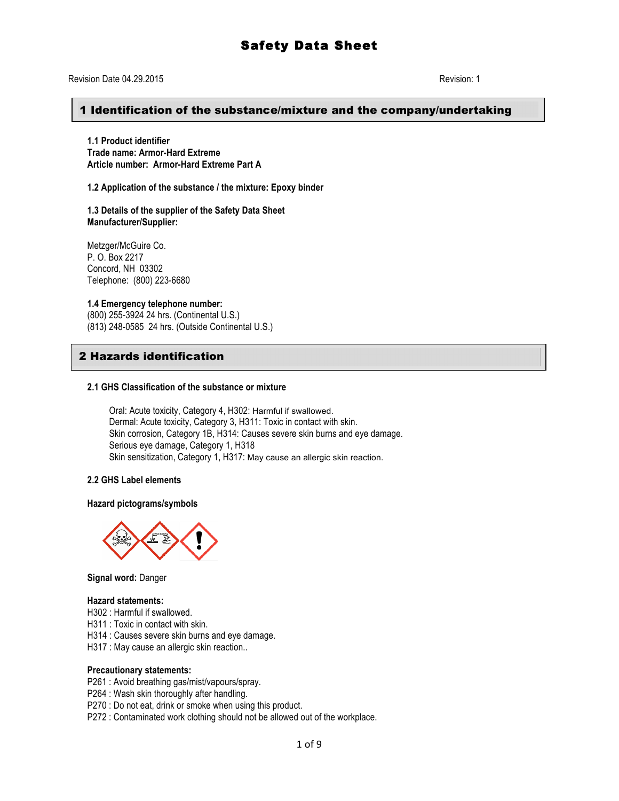#### 1 Identification of the substance/mixture and the company/undertaking

**1.1 Product identifier Trade name: Armor-Hard Extreme Article number: Armor-Hard Extreme Part A**

**1.2 Application of the substance / the mixture: Epoxy binder**

**1.3 Details of the supplier of the Safety Data Sheet Manufacturer/Supplier:** 

Metzger/McGuire Co. P. O. Box 2217 Concord, NH 03302 Telephone: (800) 223-6680

#### **1.4 Emergency telephone number:**

(800) 255-3924 24 hrs. (Continental U.S.) (813) 248-0585 24 hrs. (Outside Continental U.S.)

# 2 Hazards identification

#### **2.1 GHS Classification of the substance or mixture**

Oral: Acute toxicity, Category 4, H302: Harmful if swallowed. Dermal: Acute toxicity, Category 3, H311: Toxic in contact with skin. Skin corrosion, Category 1B, H314: Causes severe skin burns and eye damage. Serious eye damage, Category 1, H318 Skin sensitization, Category 1, H317: May cause an allergic skin reaction.

#### **2.2 GHS Label elements**

**Hazard pictograms/symbols**



**Signal word:** Danger

#### **Hazard statements:**

H302 : Harmful if swallowed.

H311 : Toxic in contact with skin.

H314 : Causes severe skin burns and eye damage.

H317 : May cause an allergic skin reaction..

#### **Precautionary statements:**

P261 : Avoid breathing gas/mist/vapours/spray.

P264 : Wash skin thoroughly after handling.

P270 : Do not eat, drink or smoke when using this product.

P272 : Contaminated work clothing should not be allowed out of the workplace.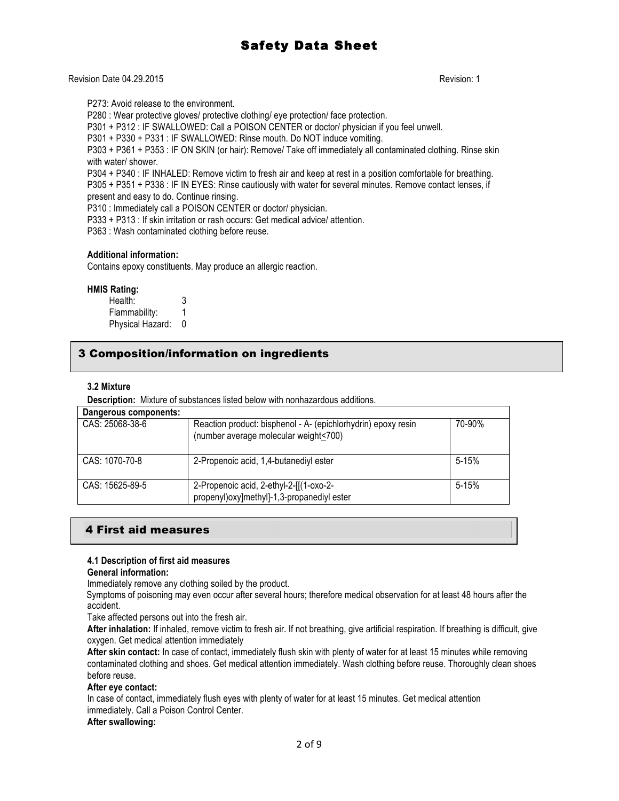Revision Date 04.29.2015 Revision: 1

P273: Avoid release to the environment.

P280 : Wear protective gloves/ protective clothing/ eye protection/ face protection.

P301 + P312 : IF SWALLOWED: Call a POISON CENTER or doctor/ physician if you feel unwell.

P301 + P330 + P331 : IF SWALLOWED: Rinse mouth. Do NOT induce vomiting.

P303 + P361 + P353 : IF ON SKIN (or hair): Remove/ Take off immediately all contaminated clothing. Rinse skin with water/ shower.

P304 + P340 : IF INHALED: Remove victim to fresh air and keep at rest in a position comfortable for breathing. P305 + P351 + P338 : IF IN EYES: Rinse cautiously with water for several minutes. Remove contact lenses, if

present and easy to do. Continue rinsing.

P310 : Immediately call a POISON CENTER or doctor/ physician.

P333 + P313 : If skin irritation or rash occurs: Get medical advice/ attention.

P363 : Wash contaminated clothing before reuse.

#### **Additional information:**

Contains epoxy constituents. May produce an allergic reaction.

#### **HMIS Rating:**

Health: 3 Flammability: 1 Physical Hazard: 0

# 3 Composition/information on ingredients

#### **3.2 Mixture**

**Description:** Mixture of substances listed below with nonhazardous additions.

| Dangerous components: |                                                                                                        |           |
|-----------------------|--------------------------------------------------------------------------------------------------------|-----------|
| CAS: 25068-38-6       | Reaction product: bisphenol - A- (epichlorhydrin) epoxy resin<br>(number average molecular weight<700) | 70-90%    |
| CAS: 1070-70-8        | 2-Propenoic acid, 1,4-butanediyl ester                                                                 | $5 - 15%$ |
| $CAS: 15625-89-5$     | 2-Propenoic acid, 2-ethyl-2-[[(1-oxo-2-<br>propenyl) oxy] methyl]-1,3-propanediyl ester                | $5 - 15%$ |

# 4 First aid measures

#### **4.1 Description of first aid measures**

#### **General information:**

Immediately remove any clothing soiled by the product.

Symptoms of poisoning may even occur after several hours; therefore medical observation for at least 48 hours after the accident.

Take affected persons out into the fresh air.

**After inhalation:** If inhaled, remove victim to fresh air. If not breathing, give artificial respiration. If breathing is difficult, give oxygen. Get medical attention immediately

**After skin contact:** In case of contact, immediately flush skin with plenty of water for at least 15 minutes while removing contaminated clothing and shoes. Get medical attention immediately. Wash clothing before reuse. Thoroughly clean shoes before reuse.

#### **After eye contact:**

In case of contact, immediately flush eyes with plenty of water for at least 15 minutes. Get medical attention immediately. Call a Poison Control Center.

#### **After swallowing:**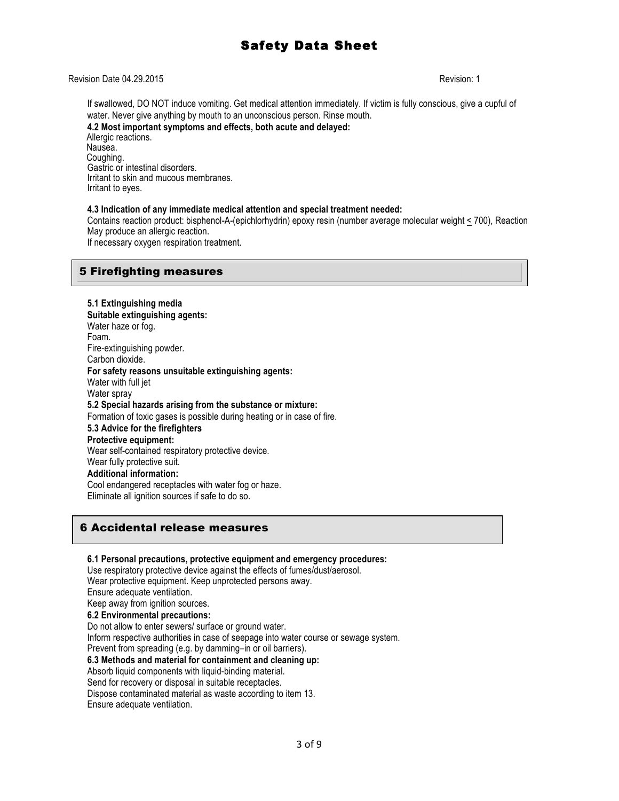#### Revision Date 04.29.2015 Revision: 1

If swallowed, DO NOT induce vomiting. Get medical attention immediately. If victim is fully conscious, give a cupful of water. Never give anything by mouth to an unconscious person. Rinse mouth. **4.2 Most important symptoms and effects, both acute and delayed:**

Allergic reactions. Nausea. Coughing. Gastric or intestinal disorders. Irritant to skin and mucous membranes. Irritant to eyes.

#### **4.3 Indication of any immediate medical attention and special treatment needed:**

Contains reaction product: bisphenol-A-(epichlorhydrin) epoxy resin (number average molecular weight < 700), Reaction May produce an allergic reaction.

If necessary oxygen respiration treatment.

### 5 Firefighting measures

**5.1 Extinguishing media Suitable extinguishing agents:** Water haze or fog. Foam. Fire-extinguishing powder. Carbon dioxide. **For safety reasons unsuitable extinguishing agents:** Water with full jet Water spray **5.2 Special hazards arising from the substance or mixture:** Formation of toxic gases is possible during heating or in case of fire. **5.3 Advice for the firefighters Protective equipment:** Wear self-contained respiratory protective device. Wear fully protective suit. **Additional information:** Cool endangered receptacles with water fog or haze. Eliminate all ignition sources if safe to do so.

### 6 Accidental release measures

#### **6.1 Personal precautions, protective equipment and emergency procedures:**

Use respiratory protective device against the effects of fumes/dust/aerosol. Wear protective equipment. Keep unprotected persons away. Ensure adequate ventilation.

Keep away from ignition sources.

# **6.2 Environmental precautions:**

Do not allow to enter sewers/ surface or ground water.

Inform respective authorities in case of seepage into water course or sewage system. Prevent from spreading (e.g. by damming–in or oil barriers).

#### **6.3 Methods and material for containment and cleaning up:**

Absorb liquid components with liquid-binding material.

Send for recovery or disposal in suitable receptacles.

Dispose contaminated material as waste according to item 13. Ensure adequate ventilation.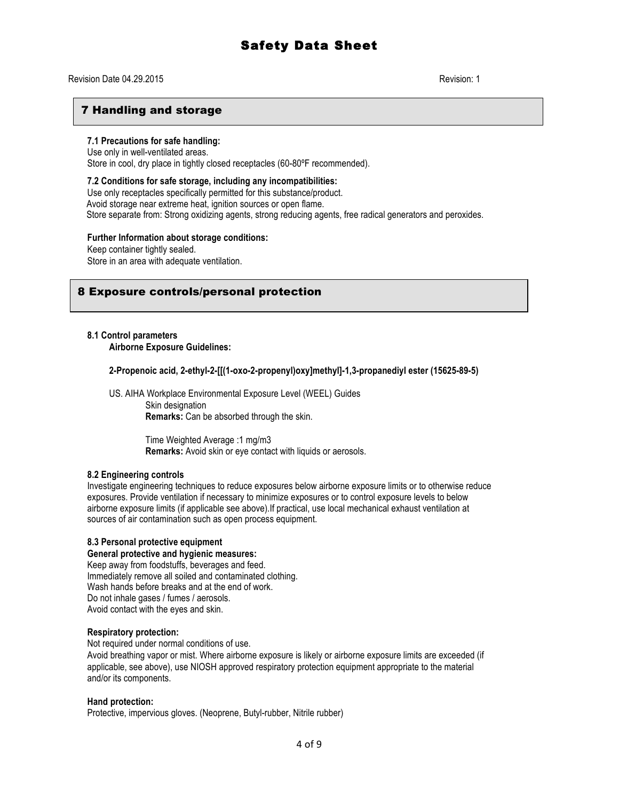#### Revision Date 04.29.2015 Revision: 1

### 7 Handling and storage

### **7.1 Precautions for safe handling:**

Use only in well-ventilated areas. Store in cool, dry place in tightly closed receptacles (60-80ºF recommended).

**7.2 Conditions for safe storage, including any incompatibilities:** Use only receptacles specifically permitted for this substance/product. Avoid storage near extreme heat, ignition sources or open flame. Store separate from: Strong oxidizing agents, strong reducing agents, free radical generators and peroxides.

#### **Further Information about storage conditions:**

Keep container tightly sealed.

Store in an area with adequate ventilation.

### 8 Exposure controls/personal protection

# **8.1 Control parameters**

**Airborne Exposure Guidelines:**

**2-Propenoic acid, 2-ethyl-2-[[(1-oxo-2-propenyl)oxy]methyl]-1,3-propanediyl ester (15625-89-5)**

US. AIHA Workplace Environmental Exposure Level (WEEL) Guides

Skin designation **Remarks:** Can be absorbed through the skin.

Time Weighted Average :1 mg/m3 **Remarks:** Avoid skin or eye contact with liquids or aerosols.

#### **8.2 Engineering controls**

Investigate engineering techniques to reduce exposures below airborne exposure limits or to otherwise reduce exposures. Provide ventilation if necessary to minimize exposures or to control exposure levels to below airborne exposure limits (if applicable see above).If practical, use local mechanical exhaust ventilation at sources of air contamination such as open process equipment.

#### **8.3 Personal protective equipment**

#### **General protective and hygienic measures:**

Keep away from foodstuffs, beverages and feed. Immediately remove all soiled and contaminated clothing. Wash hands before breaks and at the end of work. Do not inhale gases / fumes / aerosols. Avoid contact with the eyes and skin.

#### **Respiratory protection:**

Not required under normal conditions of use.

Avoid breathing vapor or mist. Where airborne exposure is likely or airborne exposure limits are exceeded (if applicable, see above), use NIOSH approved respiratory protection equipment appropriate to the material and/or its components.

#### **Hand protection:**

Protective, impervious gloves. (Neoprene, Butyl-rubber, Nitrile rubber)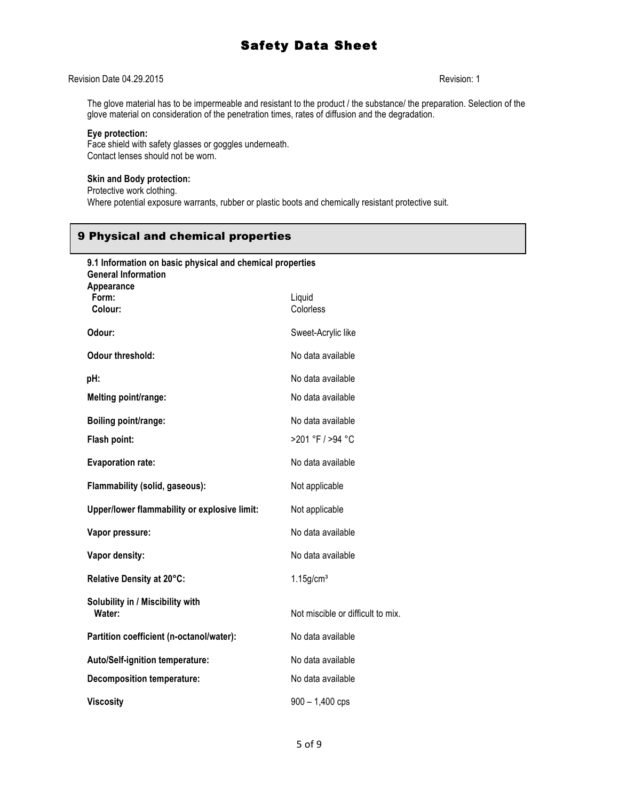### Revision Date 04.29.2015 Revision: 1

The glove material has to be impermeable and resistant to the product / the substance/ the preparation. Selection of the glove material on consideration of the penetration times, rates of diffusion and the degradation.

#### **Eye protection:**

Face shield with safety glasses or goggles underneath. Contact lenses should not be worn.

#### **Skin and Body protection:**

Protective work clothing. Where potential exposure warrants, rubber or plastic boots and chemically resistant protective suit.

# 9 Physical and chemical properties

| 9.1 Information on basic physical and chemical properties<br><b>General Information</b><br>Appearance |                                   |
|-------------------------------------------------------------------------------------------------------|-----------------------------------|
| Form:<br>Colour:                                                                                      | Liquid<br>Colorless               |
| Odour:                                                                                                | Sweet-Acrylic like                |
| <b>Odour threshold:</b>                                                                               | No data available                 |
| pH:                                                                                                   | No data available                 |
| Melting point/range:                                                                                  | No data available                 |
| Boiling point/range:                                                                                  | No data available                 |
| Flash point:                                                                                          | >201 °F / >94 °C                  |
| <b>Evaporation rate:</b>                                                                              | No data available                 |
| Flammability (solid, gaseous):                                                                        | Not applicable                    |
| Upper/lower flammability or explosive limit:                                                          | Not applicable                    |
| Vapor pressure:                                                                                       | No data available                 |
| Vapor density:                                                                                        | No data available                 |
| Relative Density at 20°C:                                                                             | $1.15$ g/cm <sup>3</sup>          |
| Solubility in / Miscibility with<br>Water:                                                            | Not miscible or difficult to mix. |
| Partition coefficient (n-octanol/water):                                                              | No data available                 |
| <b>Auto/Self-ignition temperature:</b>                                                                | No data available                 |
| <b>Decomposition temperature:</b>                                                                     | No data available                 |
| <b>Viscositv</b>                                                                                      | $900 - 1,400$ cps                 |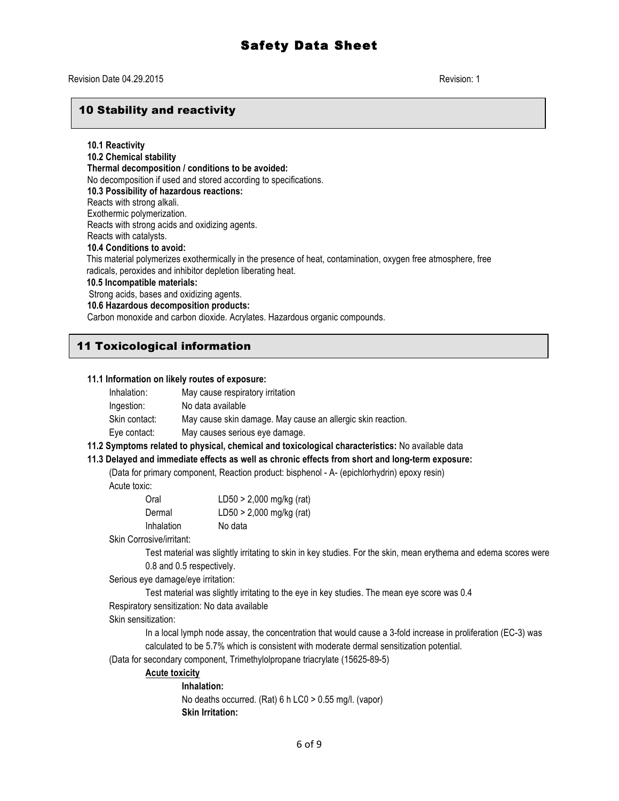# 10 Stability and reactivity

**10.1 Reactivity 10.2 Chemical stability Thermal decomposition / conditions to be avoided:** No decomposition if used and stored according to specifications. **10.3 Possibility of hazardous reactions:** Reacts with strong alkali. Exothermic polymerization. Reacts with strong acids and oxidizing agents. Reacts with catalysts. **10.4 Conditions to avoid:** This material polymerizes exothermically in the presence of heat, contamination, oxygen free atmosphere, free radicals, peroxides and inhibitor depletion liberating heat. **10.5 Incompatible materials:** Strong acids, bases and oxidizing agents. **10.6 Hazardous decomposition products:** Carbon monoxide and carbon dioxide. Acrylates. Hazardous organic compounds.

# 11 Toxicological information

#### **11.1 Information on likely routes of exposure:**

| Inhalation:   | May cause respiratory irritation                            |
|---------------|-------------------------------------------------------------|
| Ingestion:    | No data available                                           |
| Skin contact: | May cause skin damage. May cause an allergic skin reaction. |
| Eye contact:  | May causes serious eye damage.                              |

#### **11.2 Symptoms related to physical, chemical and toxicological characteristics:** No available data

#### **11.3 Delayed and immediate effects as well as chronic effects from short and long-term exposure:**

(Data for primary component, Reaction product: bisphenol - A- (epichlorhydrin) epoxy resin) Acute toxic:

| Oral       | LD50 > 2,000 mg/kg (rat) |
|------------|--------------------------|
| Dermal     | LD50 > 2,000 mg/kg (rat) |
| Inhalation | No data                  |

Skin Corrosive/irritant:

Test material was slightly irritating to skin in key studies. For the skin, mean erythema and edema scores were 0.8 and 0.5 respectively.

Serious eye damage/eye irritation:

Test material was slightly irritating to the eye in key studies. The mean eye score was 0.4

Respiratory sensitization: No data available

Skin sensitization:

In a local lymph node assay, the concentration that would cause a 3-fold increase in proliferation (EC-3) was calculated to be 5.7% which is consistent with moderate dermal sensitization potential.

(Data for secondary component, Trimethylolpropane triacrylate (15625-89-5)

### **Acute toxicity**

**Inhalation:** No deaths occurred. (Rat) 6 h LC0 > 0.55 mg/l. (vapor) **Skin Irritation:**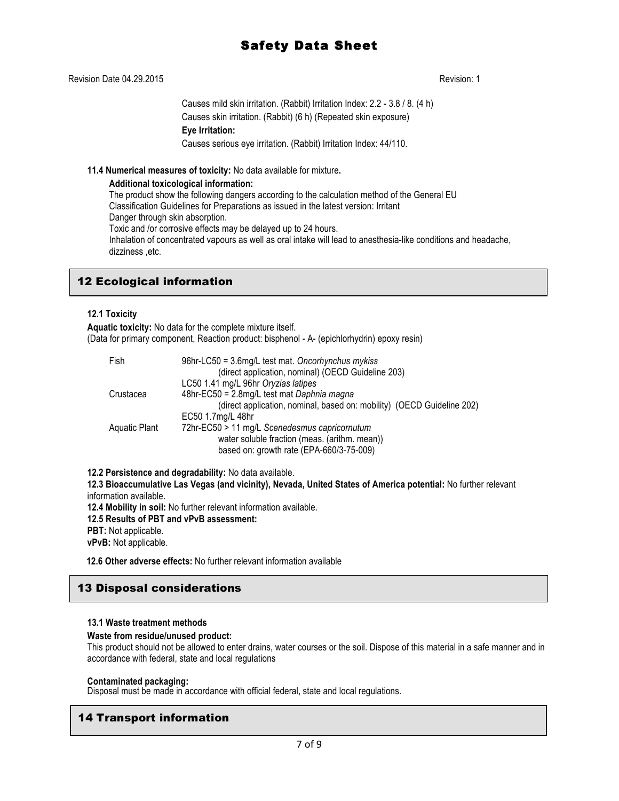### Revision Date 04.29.2015 Revision: 1

Causes mild skin irritation. (Rabbit) Irritation Index: 2.2 - 3.8 / 8. (4 h) Causes skin irritation. (Rabbit) (6 h) (Repeated skin exposure) **Eye Irritation:** Causes serious eye irritation. (Rabbit) Irritation Index: 44/110.

#### **11.4 Numerical measures of toxicity:** No data available for mixture**.**

#### **Additional toxicological information:**

The product show the following dangers according to the calculation method of the General EU Classification Guidelines for Preparations as issued in the latest version: Irritant Danger through skin absorption. Toxic and /or corrosive effects may be delayed up to 24 hours. Inhalation of concentrated vapours as well as oral intake will lead to anesthesia-like conditions and headache, dizziness ,etc.

# 12 Ecological information

### **12.1 Toxicity**

**Aquatic toxicity:** No data for the complete mixture itself. (Data for primary component, Reaction product: bisphenol - A- (epichlorhydrin) epoxy resin)

| Fish          | 96hr-LC50 = 3.6mg/L test mat. Oncorhynchus mykiss<br>(direct application, nominal) (OECD Guideline 203) |
|---------------|---------------------------------------------------------------------------------------------------------|
|               | LC50 1.41 mg/L 96hr Oryzias latipes                                                                     |
| Crustacea     | 48hr-EC50 = 2.8mg/L test mat Daphnia magna                                                              |
|               | (direct application, nominal, based on: mobility) (OECD Guideline 202)                                  |
|               | EC50 1.7mg/L 48hr                                                                                       |
| Aquatic Plant | 72hr-EC50 > 11 mg/L Scenedesmus capricornutum                                                           |
|               | water soluble fraction (meas. (arithm. mean))                                                           |
|               | based on: growth rate (EPA-660/3-75-009)                                                                |

**12.2 Persistence and degradability:** No data available.

**12.3 Bioaccumulative Las Vegas (and vicinity), Nevada, United States of America potential:** No further relevant information available.

**12.4 Mobility in soil:** No further relevant information available.

- **12.5 Results of PBT and vPvB assessment:**
- **PBT:** Not applicable.

**vPvB:** Not applicable.

 **12.6 Other adverse effects:** No further relevant information available

# 13 Disposal considerations

#### **13.1 Waste treatment methods**

#### **Waste from residue/unused product:**

This product should not be allowed to enter drains, water courses or the soil. Dispose of this material in a safe manner and in accordance with federal, state and local regulations

#### **Contaminated packaging:**

Disposal must be made in accordance with official federal, state and local regulations.

# 14 Transport information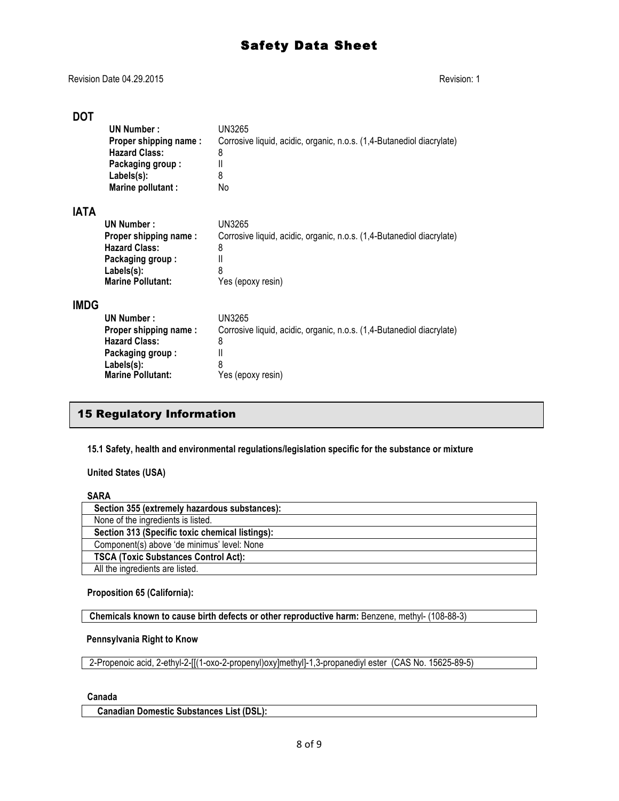Revision Date 04.29.2015 Revision: 1

# **DOT**

|             | UN Number:<br>Proper shipping name:<br><b>Hazard Class:</b><br>Packaging group:                                           | UN3265<br>Corrosive liquid, acidic, organic, n.o.s. (1,4-Butanediol diacrylate)<br>8<br>Ш                           |
|-------------|---------------------------------------------------------------------------------------------------------------------------|---------------------------------------------------------------------------------------------------------------------|
|             | Labels(s):<br>Marine pollutant :                                                                                          | 8<br>No                                                                                                             |
| <b>IATA</b> | UN Number:<br>Proper shipping name:                                                                                       | UN3265<br>Corrosive liquid, acidic, organic, n.o.s. (1,4-Butanediol diacrylate)                                     |
|             | <b>Hazard Class:</b><br>Packaging group:<br>Labels(s):<br><b>Marine Pollutant:</b>                                        | 8<br>$\mathbf{I}$<br>8<br>Yes (epoxy resin)                                                                         |
| <b>IMDG</b> | UN Number:<br>Proper shipping name:<br><b>Hazard Class:</b><br>Packaging group:<br>Labels(s):<br><b>Marine Pollutant:</b> | UN3265<br>Corrosive liquid, acidic, organic, n.o.s. (1,4-Butanediol diacrylate)<br>8<br>Ш<br>8<br>Yes (epoxy resin) |

# 15 Regulatory Information

**15.1 Safety, health and environmental regulations/legislation specific for the substance or mixture**

**United States (USA)**

# **SARA**

| Section 355 (extremely hazardous substances):   |  |
|-------------------------------------------------|--|
| None of the ingredients is listed.              |  |
| Section 313 (Specific toxic chemical listings): |  |
| Component(s) above 'de minimus' level: None     |  |
| <b>TSCA (Toxic Substances Control Act):</b>     |  |
| All the ingredients are listed.                 |  |

**Proposition 65 (California):**

**Chemicals known to cause birth defects or other reproductive harm:** Benzene, methyl- (108-88-3)

#### **Pennsylvania Right to Know**

2-Propenoic acid, 2-ethyl-2-[[(1-oxo-2-propenyl)oxy]methyl]-1,3-propanediyl ester (CAS No. 15625-89-5)

#### **Canada**

 **Canadian Domestic Substances List (DSL):**